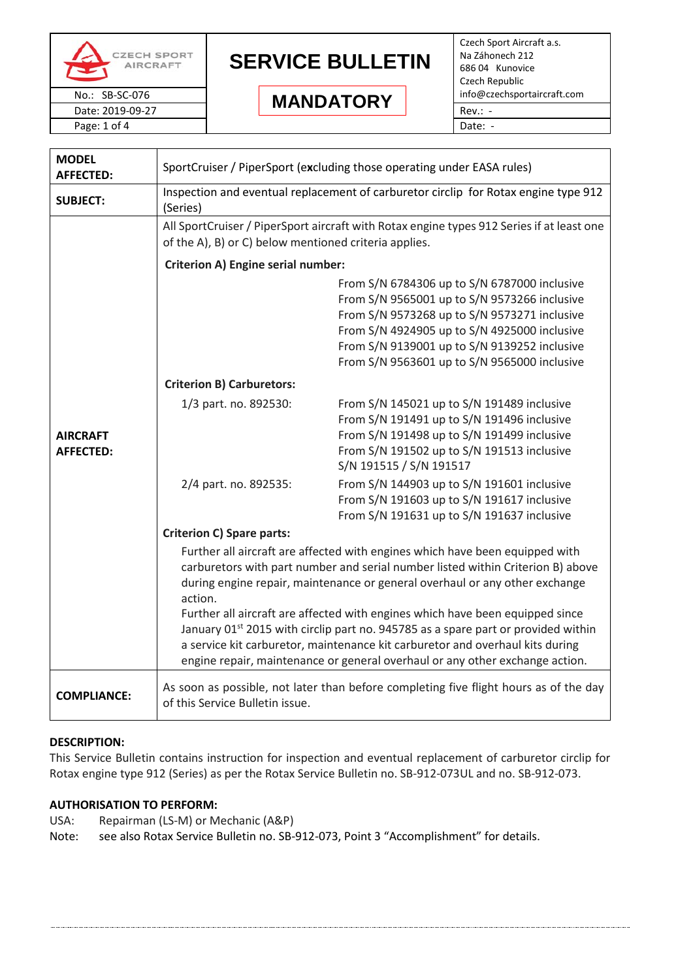

#### Date: 2019-09-27 Rev.: - **MANDATORY**

Czech Sport Aircraft a.s. Na Záhonech 212 686 04 Kunovice Czech Republic No.: SB-SC-076 **IMANIATODY** info@czechsportaircraft.com Page: 1 of 4 Date: -

**MODEL AFFECTED:** SportCruiser / PiperSport (e**x**cluding those operating under EASA rules) **SUBJECT:** Inspection and eventual replacement of carburetor circlip for Rotax engine type 912 (Series) **AIRCRAFT AFFECTED:** All SportCruiser / PiperSport aircraft with Rotax engine types 912 Series if at least one of the A), B) or C) below mentioned criteria applies. **Criterion A) Engine serial number:** From S/N 6784306 up to S/N 6787000 inclusive From S/N 9565001 up to S/N 9573266 inclusive From S/N 9573268 up to S/N 9573271 inclusive From S/N 4924905 up to S/N 4925000 inclusive From S/N 9139001 up to S/N 9139252 inclusive From S/N 9563601 up to S/N 9565000 inclusive **Criterion B) Carburetors:** 1/3 part. no. 892530: From S/N 145021 up to S/N 191489 inclusive From S/N 191491 up to S/N 191496 inclusive From S/N 191498 up to S/N 191499 inclusive From S/N 191502 up to S/N 191513 inclusive S/N 191515 / S/N 191517 2/4 part. no. 892535: From S/N 144903 up to S/N 191601 inclusive From S/N 191603 up to S/N 191617 inclusive From S/N 191631 up to S/N 191637 inclusive **Criterion C) Spare parts:** Further all aircraft are affected with engines which have been equipped with carburetors with part number and serial number listed within Criterion B) above during engine repair, maintenance or general overhaul or any other exchange action. Further all aircraft are affected with engines which have been equipped since January 01<sup>st</sup> 2015 with circlip part no. 945785 as a spare part or provided within a service kit carburetor, maintenance kit carburetor and overhaul kits during engine repair, maintenance or general overhaul or any other exchange action. **COMPLIANCE:** As soon as possible, not later than before completing five flight hours as of the day of this Service Bulletin issue.

### **DESCRIPTION:**

This Service Bulletin contains instruction for inspection and eventual replacement of carburetor circlip for Rotax engine type 912 (Series) as per the Rotax Service Bulletin no. SB-912-073UL and no. SB-912-073.

### **AUTHORISATION TO PERFORM:**

- USA: Repairman (LS-M) or Mechanic (A&P)
- Note: see also Rotax Service Bulletin no. SB-912-073, Point 3 "Accomplishment" for details.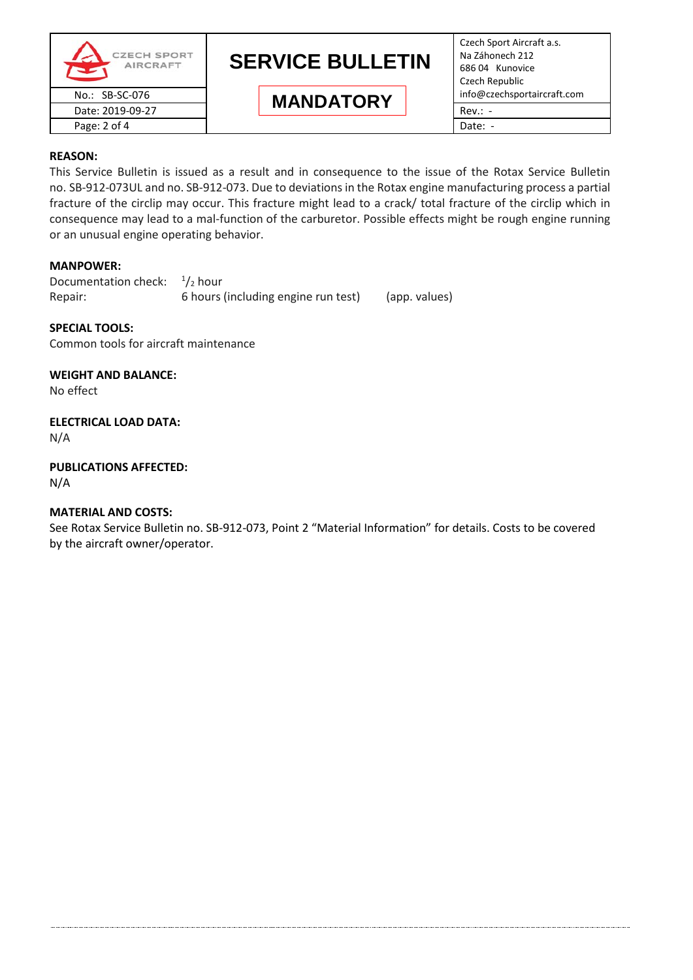

Czech Sport Aircraft a.s. Na Záhonech 212 686 04 Kunovice Czech Republic

#### **REASON:**

This Service Bulletin is issued as a result and in consequence to the issue of the Rotax Service Bulletin no. SB-912-073UL and no. SB-912-073. Due to deviations in the Rotax engine manufacturing process a partial fracture of the circlip may occur. This fracture might lead to a crack/ total fracture of the circlip which in consequence may lead to a mal-function of the carburetor. Possible effects might be rough engine running or an unusual engine operating behavior.

#### **MANPOWER:**

Documentation check:  $\frac{1}{2}$  hour Repair: 6 hours (including engine run test) (app. values)

#### **SPECIAL TOOLS:**

Common tools for aircraft maintenance

#### **WEIGHT AND BALANCE:**

No effect

## **ELECTRICAL LOAD DATA:**

N/A

### **PUBLICATIONS AFFECTED:**

N/A

### **MATERIAL AND COSTS:**

See Rotax Service Bulletin no. SB-912-073, Point 2 "Material Information" for details. Costs to be covered by the aircraft owner/operator.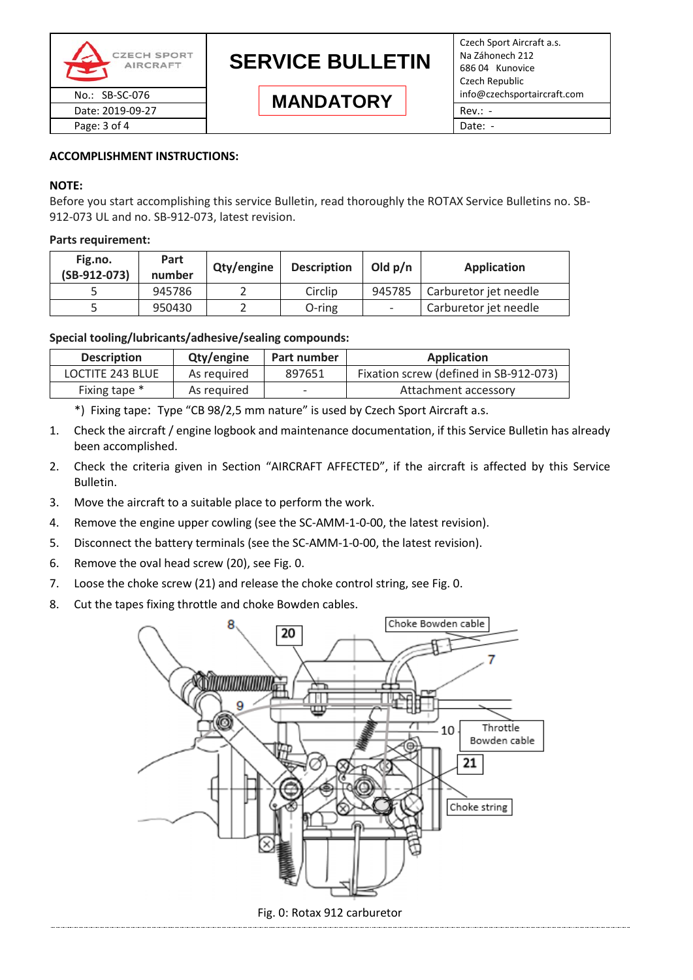

#### **ACCOMPLISHMENT INSTRUCTIONS:**

#### **NOTE:**

Before you start accomplishing this service Bulletin, read thoroughly the ROTAX Service Bulletins no. SB-912-073 UL and no. SB-912-073, latest revision.

#### **Parts requirement:**

| Fig.no.<br>$(SB-912-073)$ | Part<br>number | Qty/engine | <b>Description</b> | Old $p/n$                | Application           |
|---------------------------|----------------|------------|--------------------|--------------------------|-----------------------|
|                           | 945786         |            | Circlip            | 945785                   | Carburetor jet needle |
|                           | 950430         |            | O-ring             | $\overline{\phantom{0}}$ | Carburetor jet needle |

#### **Special tooling/lubricants/adhesive/sealing compounds:**

| <b>Description</b> | Qty/engine  | Part number | Application                            |
|--------------------|-------------|-------------|----------------------------------------|
| LOCTITE 243 BLUE   | As reguired | 897651      | Fixation screw (defined in SB-912-073) |
| Fixing tape *      | As required |             | Attachment accessory                   |

\*) Fixing tape: Type "CB 98/2,5 mm nature" is used by Czech Sport Aircraft a.s.

- 1. Check the aircraft / engine logbook and maintenance documentation, if this Service Bulletin has already been accomplished.
- 2. Check the criteria given in Section "AIRCRAFT AFFECTED", if the aircraft is affected by this Service Bulletin.
- 3. Move the aircraft to a suitable place to perform the work.
- 4. Remove the engine upper cowling (see the SC-AMM-1-0-00, the latest revision).
- 5. Disconnect the battery terminals (see the SC-AMM-1-0-00, the latest revision).
- 6. Remove the oval head screw (20), see Fig. 0.
- 7. Loose the choke screw (21) and release the choke control string, see Fig. 0.
- 8. Cut the tapes fixing throttle and choke Bowden cables.